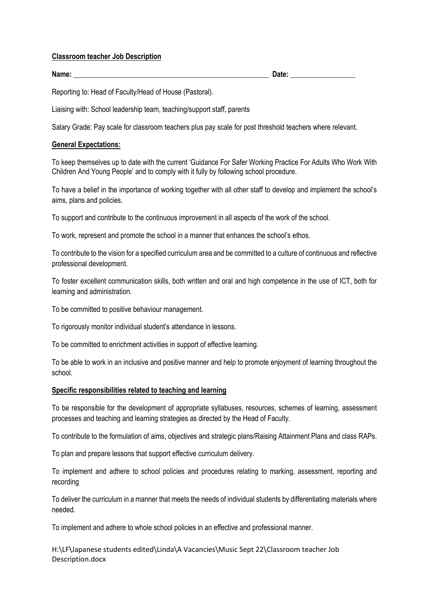#### **Classroom teacher Job Description**

Name: <u>Date:</u> **Contract Contract Contract Contract Contract Contract Contract Contract Contract Contract Contract Contract Contract Contract Contract Contract Contract Contract Contract Contract Contract Contract Contract** 

Reporting to: Head of Faculty/Head of House (Pastoral).

Liaising with: School leadership team, teaching/support staff, parents

Salary Grade: Pay scale for classroom teachers plus pay scale for post threshold teachers where relevant.

# **General Expectations:**

To keep themselves up to date with the current 'Guidance For Safer Working Practice For Adults Who Work With Children And Young People' and to comply with it fully by following school procedure.

To have a belief in the importance of working together with all other staff to develop and implement the school's aims, plans and policies.

To support and contribute to the continuous improvement in all aspects of the work of the school.

To work, represent and promote the school in a manner that enhances the school's ethos.

To contribute to the vision for a specified curriculum area and be committed to a culture of continuous and reflective professional development.

To foster excellent communication skills, both written and oral and high competence in the use of ICT, both for learning and administration.

To be committed to positive behaviour management.

To rigorously monitor individual student's attendance in lessons.

To be committed to enrichment activities in support of effective learning.

To be able to work in an inclusive and positive manner and help to promote enjoyment of learning throughout the school.

# **Specific responsibilities related to teaching and learning**

To be responsible for the development of appropriate syllabuses, resources, schemes of learning, assessment processes and teaching and learning strategies as directed by the Head of Faculty.

To contribute to the formulation of aims, objectives and strategic plans/Raising Attainment Plans and class RAPs.

To plan and prepare lessons that support effective curriculum delivery.

To implement and adhere to school policies and procedures relating to marking, assessment, reporting and recording

To deliver the curriculum in a manner that meets the needs of individual students by differentiating materials where needed.

To implement and adhere to whole school policies in an effective and professional manner.

H:\LF\Japanese students edited\Linda\A Vacancies\Music Sept 22\Classroom teacher Job Description.docx